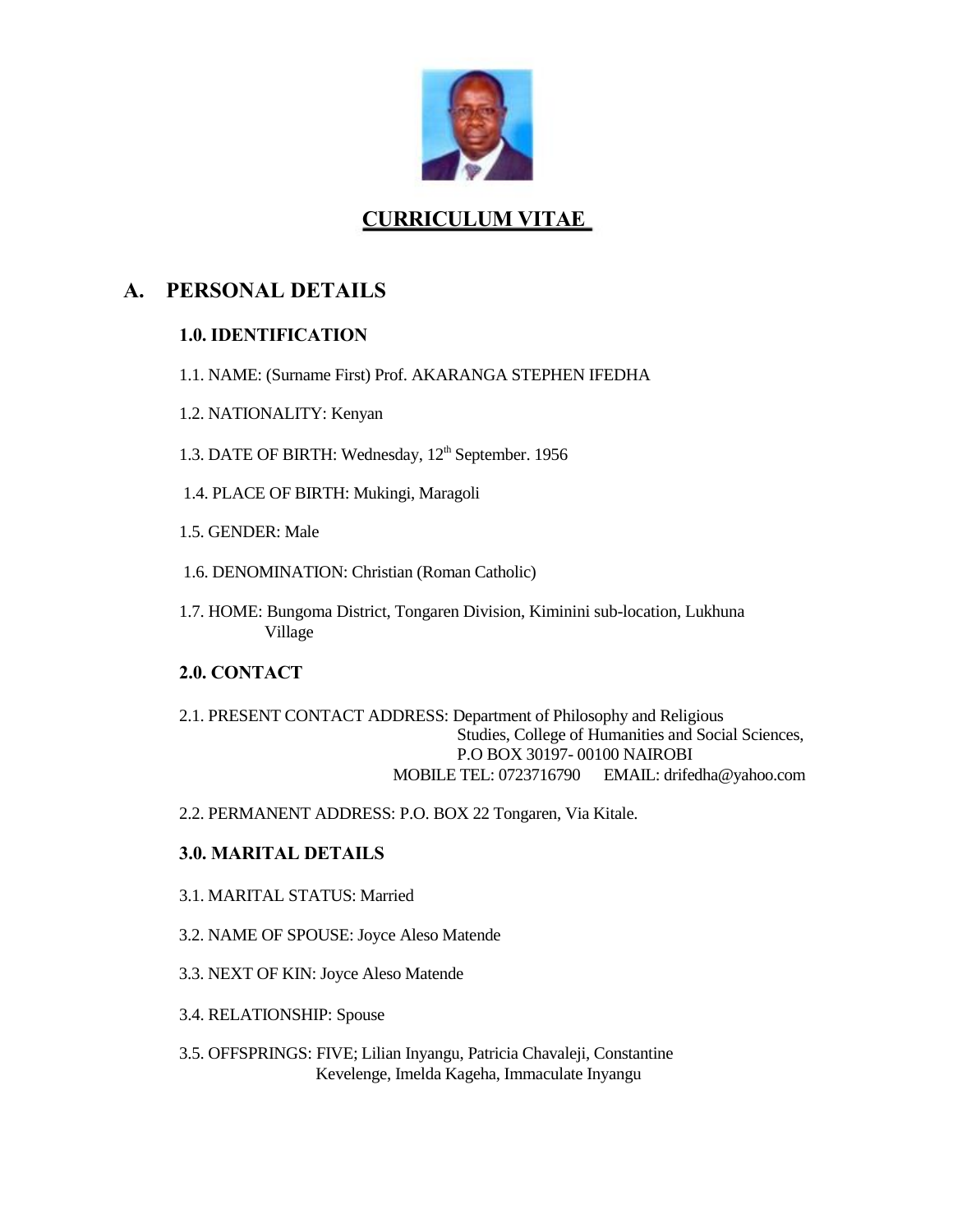

# **CURRICULUM VITAE**

# **A. PERSONAL DETAILS**

### **1.0. IDENTIFICATION**

- 1.1. NAME: (Surname First) Prof. AKARANGA STEPHEN IFEDHA
- 1.2. NATIONALITY: Kenyan
- 1.3. DATE OF BIRTH: Wednesday, 12<sup>th</sup> September. 1956
- 1.4. PLACE OF BIRTH: Mukingi, Maragoli
- 1.5. GENDER: Male
- 1.6. DENOMINATION: Christian (Roman Catholic)
- 1.7. HOME: Bungoma District, Tongaren Division, Kiminini sub-location, Lukhuna Village

### **2.0. CONTACT**

- 2.1. PRESENT CONTACT ADDRESS: Department of Philosophy and Religious Studies, College of Humanities and Social Sciences, P.O BOX 30197- 00100 NAIROBI MOBILE TEL: 0723716790 EMAIL: drifedha@yahoo.com
- 2.2. PERMANENT ADDRESS: P.O. BOX 22 Tongaren, Via Kitale.

### **3.0. MARITAL DETAILS**

- 3.1. MARITAL STATUS: Married
- 3.2. NAME OF SPOUSE: Joyce Aleso Matende
- 3.3. NEXT OF KIN: Joyce Aleso Matende
- 3.4. RELATIONSHIP: Spouse
- 3.5. OFFSPRINGS: FIVE; Lilian Inyangu, Patricia Chavaleji, Constantine Kevelenge, Imelda Kageha, Immaculate Inyangu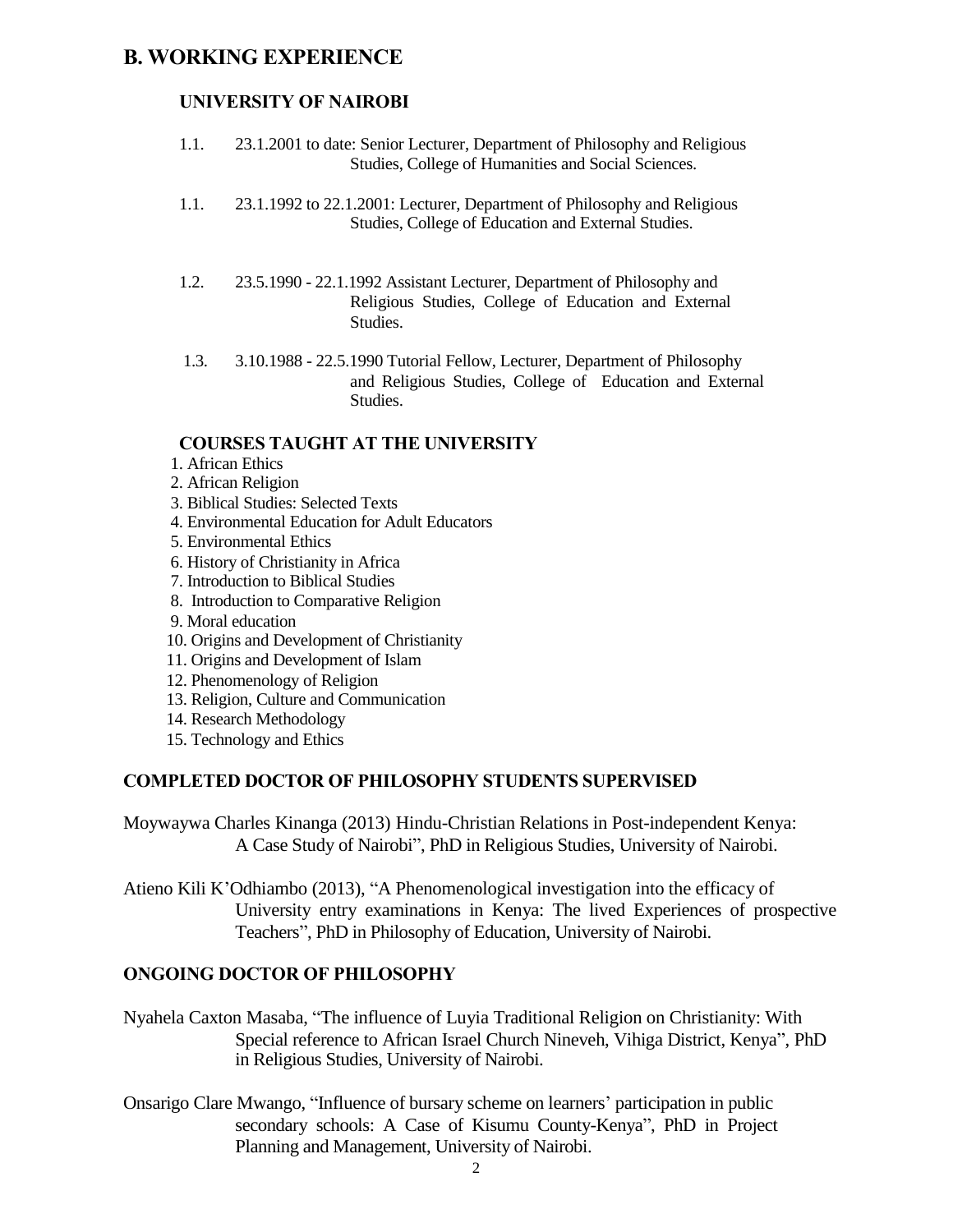## **B. WORKING EXPERIENCE**

### **UNIVERSITY OF NAIROBI**

- 1.1. 23.1.2001 to date: Senior Lecturer, Department of Philosophy and Religious Studies, College of Humanities and Social Sciences.
- 1.1. 23.1.1992 to 22.1.2001: Lecturer, Department of Philosophy and Religious Studies, College of Education and External Studies.
- 1.2. 23.5.1990 22.1.1992 Assistant Lecturer, Department of Philosophy and Religious Studies, College of Education and External Studies.
- 1.3. 3.10.1988 22.5.1990 Tutorial Fellow, Lecturer, Department of Philosophy and Religious Studies, College of Education and External Studies.

#### **COURSES TAUGHT AT THE UNIVERSITY**

- 1. African Ethics
- 2. African Religion
- 3. Biblical Studies: Selected Texts
- 4. Environmental Education for Adult Educators
- 5. Environmental Ethics
- 6. History of Christianity in Africa
- 7. Introduction to Biblical Studies
- 8. Introduction to Comparative Religion
- 9. Moral education
- 10. Origins and Development of Christianity
- 11. Origins and Development of Islam
- 12. Phenomenology of Religion
- 13. Religion, Culture and Communication
- 14. Research Methodology
- 15. Technology and Ethics

#### **COMPLETED DOCTOR OF PHILOSOPHY STUDENTS SUPERVISED**

Moywaywa Charles Kinanga (2013) Hindu-Christian Relations in Post-independent Kenya: A Case Study of Nairobi", PhD in Religious Studies, University of Nairobi.

Atieno Kili K'Odhiambo (2013), "A Phenomenological investigation into the efficacy of University entry examinations in Kenya: The lived Experiences of prospective Teachers", PhD in Philosophy of Education, University of Nairobi.

#### **ONGOING DOCTOR OF PHILOSOPHY**

- Nyahela Caxton Masaba, "The influence of Luyia Traditional Religion on Christianity: With Special reference to African Israel Church Nineveh, Vihiga District, Kenya", PhD in Religious Studies, University of Nairobi.
- Onsarigo Clare Mwango, "Influence of bursary scheme on learners' participation in public secondary schools: A Case of Kisumu County-Kenya", PhD in Project Planning and Management, University of Nairobi.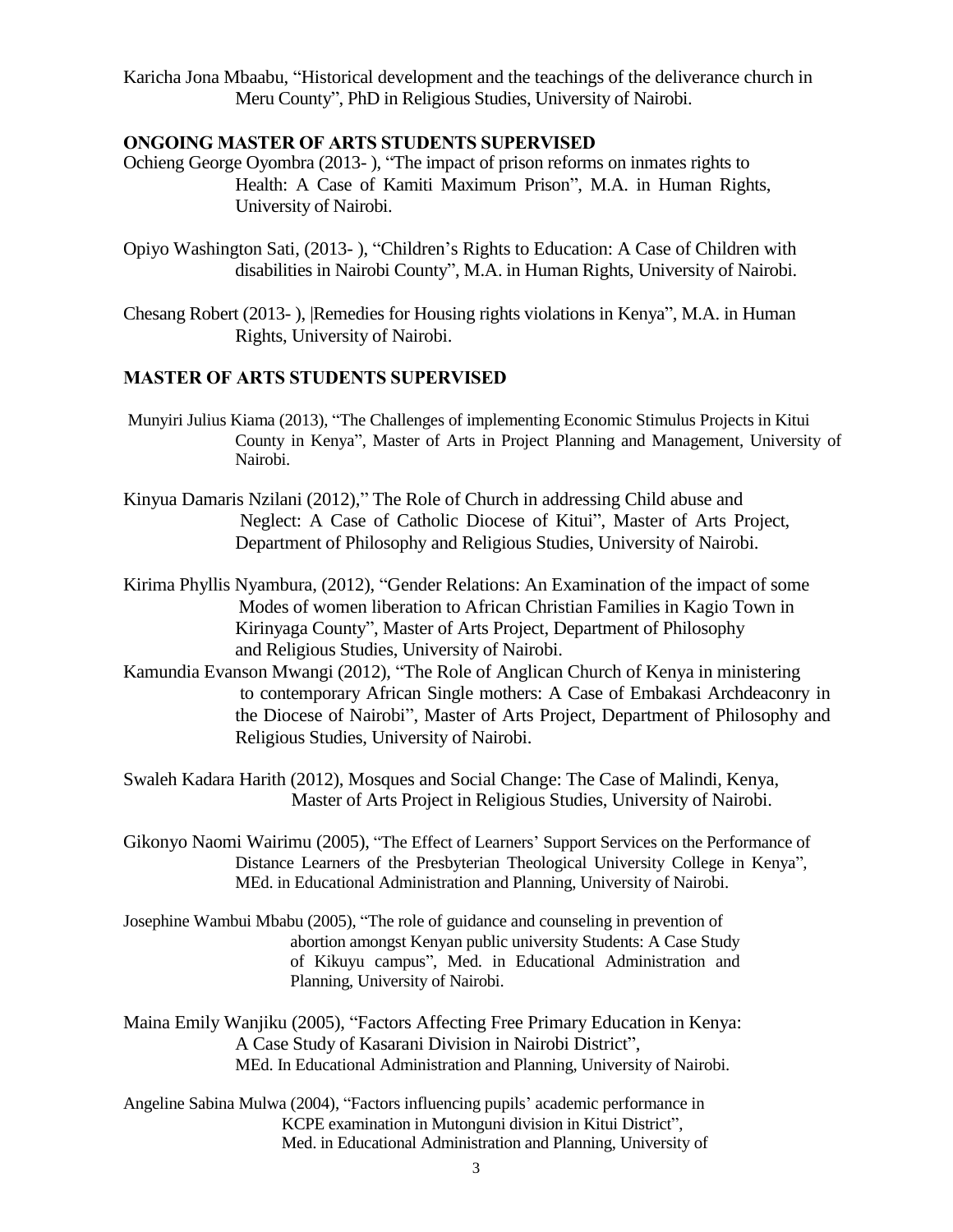Karicha Jona Mbaabu, "Historical development and the teachings of the deliverance church in Meru County", PhD in Religious Studies, University of Nairobi.

#### **ONGOING MASTER OF ARTS STUDENTS SUPERVISED**

- Ochieng George Oyombra (2013- ), "The impact of prison reforms on inmates rights to Health: A Case of Kamiti Maximum Prison", M.A. in Human Rights, University of Nairobi.
- Opiyo Washington Sati, (2013- ), "Children's Rights to Education: A Case of Children with disabilities in Nairobi County", M.A. in Human Rights, University of Nairobi.
- Chesang Robert (2013- ), |Remedies for Housing rights violations in Kenya", M.A. in Human Rights, University of Nairobi.

#### **MASTER OF ARTS STUDENTS SUPERVISED**

- Munyiri Julius Kiama (2013), "The Challenges of implementing Economic Stimulus Projects in Kitui County in Kenya", Master of Arts in Project Planning and Management, University of Nairobi.
- Kinyua Damaris Nzilani (2012)," The Role of Church in addressing Child abuse and Neglect: A Case of Catholic Diocese of Kitui", Master of Arts Project, Department of Philosophy and Religious Studies, University of Nairobi.
- Kirima Phyllis Nyambura, (2012), "Gender Relations: An Examination of the impact of some Modes of women liberation to African Christian Families in Kagio Town in Kirinyaga County", Master of Arts Project, Department of Philosophy and Religious Studies, University of Nairobi.
- Kamundia Evanson Mwangi (2012), "The Role of Anglican Church of Kenya in ministering to contemporary African Single mothers: A Case of Embakasi Archdeaconry in the Diocese of Nairobi", Master of Arts Project, Department of Philosophy and Religious Studies, University of Nairobi.
- Swaleh Kadara Harith (2012), Mosques and Social Change: The Case of Malindi, Kenya, Master of Arts Project in Religious Studies, University of Nairobi.
- Gikonyo Naomi Wairimu (2005), "The Effect of Learners' Support Services on the Performance of Distance Learners of the Presbyterian Theological University College in Kenya", MEd. in Educational Administration and Planning, University of Nairobi.
- Josephine Wambui Mbabu (2005), "The role of guidance and counseling in prevention of abortion amongst Kenyan public university Students: A Case Study of Kikuyu campus", Med. in Educational Administration and Planning, University of Nairobi.
- Maina Emily Wanjiku (2005), "Factors Affecting Free Primary Education in Kenya: A Case Study of Kasarani Division in Nairobi District", MEd. In Educational Administration and Planning, University of Nairobi.
- Angeline Sabina Mulwa (2004), "Factors influencing pupils' academic performance in KCPE examination in Mutonguni division in Kitui District", Med. in Educational Administration and Planning, University of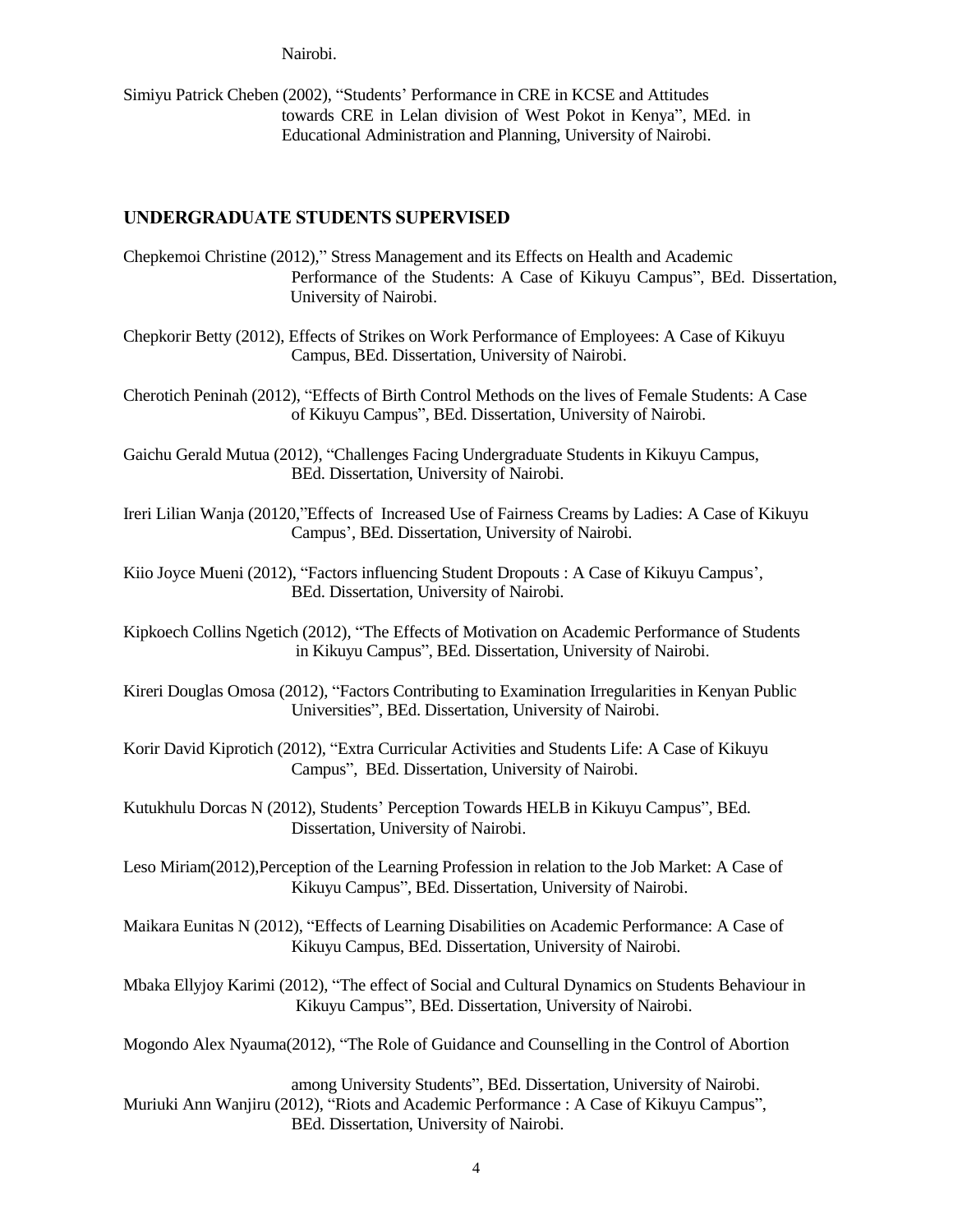Nairobi.

Simiyu Patrick Cheben (2002), "Students' Performance in CRE in KCSE and Attitudes towards CRE in Lelan division of West Pokot in Kenya", MEd. in Educational Administration and Planning, University of Nairobi.

#### **UNDERGRADUATE STUDENTS SUPERVISED**

- Chepkemoi Christine (2012)," Stress Management and its Effects on Health and Academic Performance of the Students: A Case of Kikuyu Campus", BEd. Dissertation, University of Nairobi.
- Chepkorir Betty (2012), Effects of Strikes on Work Performance of Employees: A Case of Kikuyu Campus, BEd. Dissertation, University of Nairobi.
- Cherotich Peninah (2012), "Effects of Birth Control Methods on the lives of Female Students: A Case of Kikuyu Campus", BEd. Dissertation, University of Nairobi.
- Gaichu Gerald Mutua (2012), "Challenges Facing Undergraduate Students in Kikuyu Campus, BEd. Dissertation, University of Nairobi.
- Ireri Lilian Wanja (20120,"Effects of Increased Use of Fairness Creams by Ladies: A Case of Kikuyu Campus', BEd. Dissertation, University of Nairobi.
- Kiio Joyce Mueni (2012), "Factors influencing Student Dropouts : A Case of Kikuyu Campus', BEd. Dissertation, University of Nairobi.
- Kipkoech Collins Ngetich (2012), "The Effects of Motivation on Academic Performance of Students in Kikuyu Campus", BEd. Dissertation, University of Nairobi.
- Kireri Douglas Omosa (2012), "Factors Contributing to Examination Irregularities in Kenyan Public Universities", BEd. Dissertation, University of Nairobi.
- Korir David Kiprotich (2012), "Extra Curricular Activities and Students Life: A Case of Kikuyu Campus", BEd. Dissertation, University of Nairobi.
- Kutukhulu Dorcas N (2012), Students' Perception Towards HELB in Kikuyu Campus", BEd. Dissertation, University of Nairobi.
- Leso Miriam(2012),Perception of the Learning Profession in relation to the Job Market: A Case of Kikuyu Campus", BEd. Dissertation, University of Nairobi.
- Maikara Eunitas N (2012), "Effects of Learning Disabilities on Academic Performance: A Case of Kikuyu Campus, BEd. Dissertation, University of Nairobi.
- Mbaka Ellyjoy Karimi (2012), "The effect of Social and Cultural Dynamics on Students Behaviour in Kikuyu Campus", BEd. Dissertation, University of Nairobi.
- Mogondo Alex Nyauma(2012), "The Role of Guidance and Counselling in the Control of Abortion

among University Students", BEd. Dissertation, University of Nairobi. Muriuki Ann Wanjiru (2012), "Riots and Academic Performance : A Case of Kikuyu Campus", BEd. Dissertation, University of Nairobi.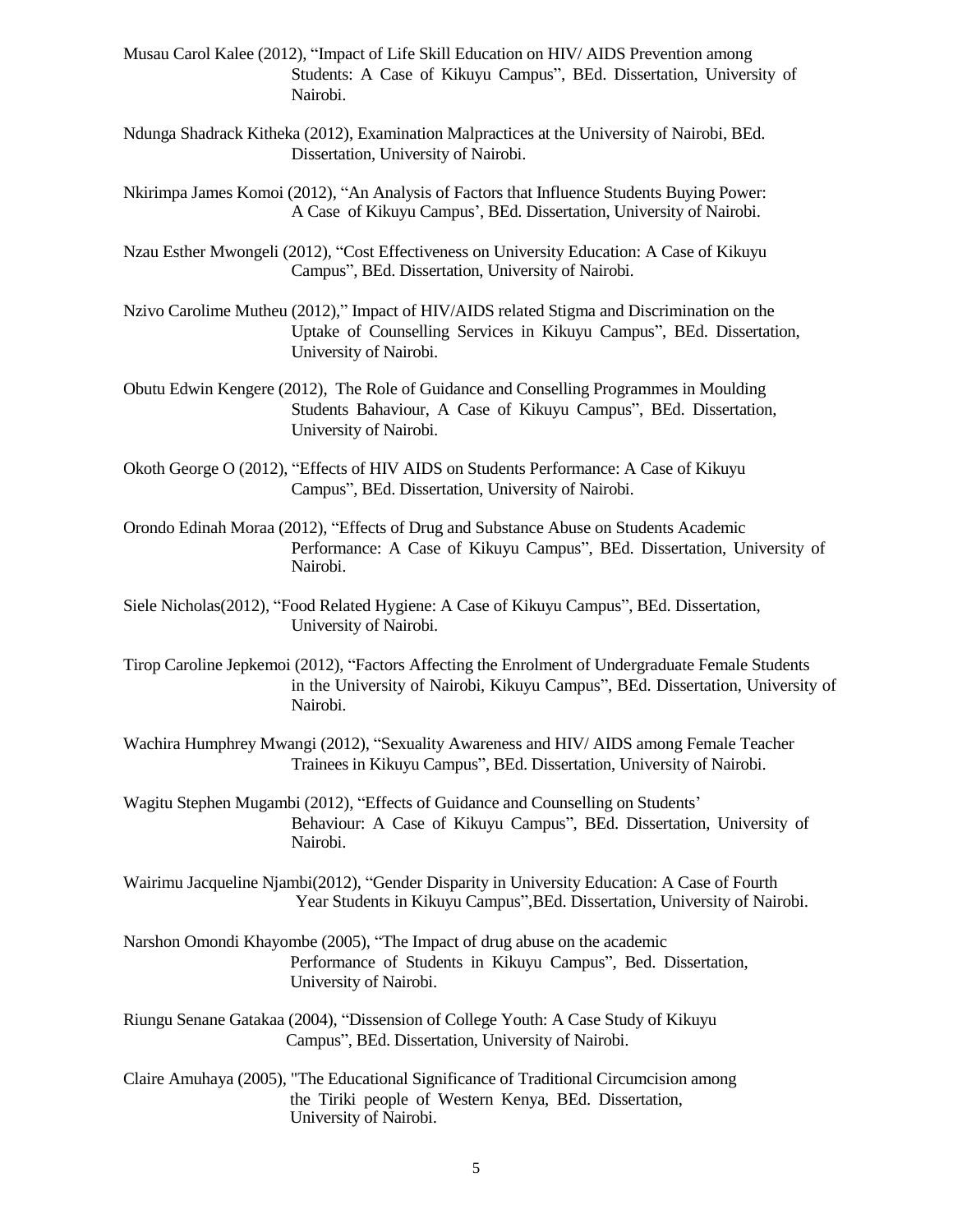- Musau Carol Kalee (2012), "Impact of Life Skill Education on HIV/ AIDS Prevention among Students: A Case of Kikuyu Campus", BEd. Dissertation, University of Nairobi.
- Ndunga Shadrack Kitheka (2012), Examination Malpractices at the University of Nairobi, BEd. Dissertation, University of Nairobi.
- Nkirimpa James Komoi (2012), "An Analysis of Factors that Influence Students Buying Power: A Case of Kikuyu Campus', BEd. Dissertation, University of Nairobi.
- Nzau Esther Mwongeli (2012), "Cost Effectiveness on University Education: A Case of Kikuyu Campus", BEd. Dissertation, University of Nairobi.
- Nzivo Carolime Mutheu (2012)," Impact of HIV/AIDS related Stigma and Discrimination on the Uptake of Counselling Services in Kikuyu Campus", BEd. Dissertation, University of Nairobi.
- Obutu Edwin Kengere (2012), The Role of Guidance and Conselling Programmes in Moulding Students Bahaviour, A Case of Kikuyu Campus", BEd. Dissertation, University of Nairobi.
- Okoth George O (2012), "Effects of HIV AIDS on Students Performance: A Case of Kikuyu Campus", BEd. Dissertation, University of Nairobi.
- Orondo Edinah Moraa (2012), "Effects of Drug and Substance Abuse on Students Academic Performance: A Case of Kikuyu Campus", BEd. Dissertation, University of Nairobi.
- Siele Nicholas(2012), "Food Related Hygiene: A Case of Kikuyu Campus", BEd. Dissertation, University of Nairobi.
- Tirop Caroline Jepkemoi (2012), "Factors Affecting the Enrolment of Undergraduate Female Students in the University of Nairobi, Kikuyu Campus", BEd. Dissertation, University of Nairobi.
- Wachira Humphrey Mwangi (2012), "Sexuality Awareness and HIV/ AIDS among Female Teacher Trainees in Kikuyu Campus", BEd. Dissertation, University of Nairobi.
- Wagitu Stephen Mugambi (2012), "Effects of Guidance and Counselling on Students' Behaviour: A Case of Kikuyu Campus", BEd. Dissertation, University of Nairobi.
- Wairimu Jacqueline Njambi(2012), "Gender Disparity in University Education: A Case of Fourth Year Students in Kikuyu Campus",BEd. Dissertation, University of Nairobi.
- Narshon Omondi Khayombe (2005), "The Impact of drug abuse on the academic Performance of Students in Kikuyu Campus", Bed. Dissertation, University of Nairobi.
- Riungu Senane Gatakaa (2004), "Dissension of College Youth: A Case Study of Kikuyu Campus", BEd. Dissertation, University of Nairobi.
- Claire Amuhaya (2005), "The Educational Significance of Traditional Circumcision among the Tiriki people of Western Kenya, BEd. Dissertation, University of Nairobi.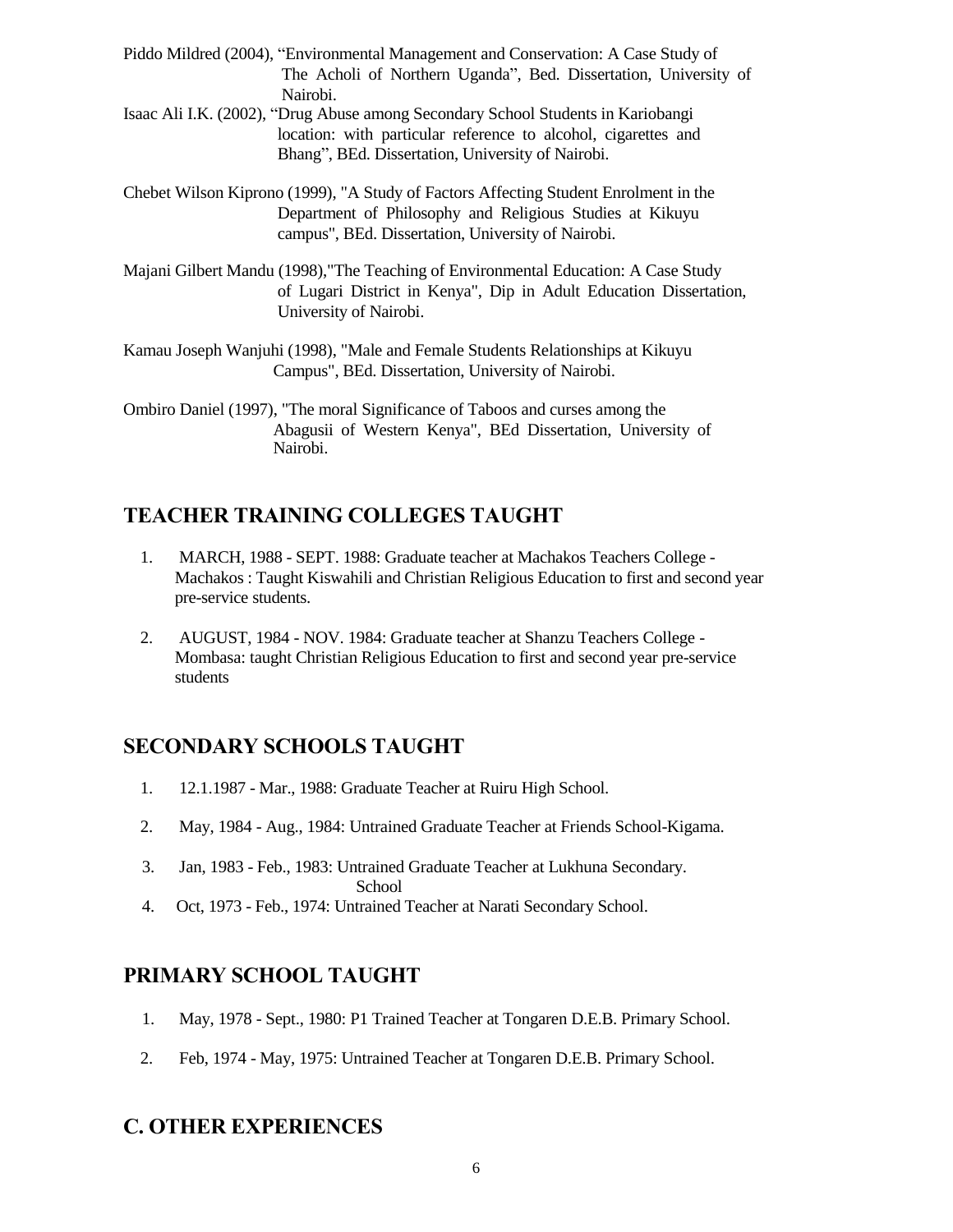- Piddo Mildred (2004), "Environmental Management and Conservation: A Case Study of The Acholi of Northern Uganda", Bed. Dissertation, University of Nairobi.
- Isaac Ali I.K. (2002), "Drug Abuse among Secondary School Students in Kariobangi location: with particular reference to alcohol, cigarettes and Bhang", BEd. Dissertation, University of Nairobi.
- Chebet Wilson Kiprono (1999), "A Study of Factors Affecting Student Enrolment in the Department of Philosophy and Religious Studies at Kikuyu campus", BEd. Dissertation, University of Nairobi.
- Majani Gilbert Mandu (1998),"The Teaching of Environmental Education: A Case Study of Lugari District in Kenya", Dip in Adult Education Dissertation, University of Nairobi.
- Kamau Joseph Wanjuhi (1998), "Male and Female Students Relationships at Kikuyu Campus", BEd. Dissertation, University of Nairobi.

Ombiro Daniel (1997), "The moral Significance of Taboos and curses among the Abagusii of Western Kenya", BEd Dissertation, University of Nairobi.

# **TEACHER TRAINING COLLEGES TAUGHT**

- 1. MARCH, 1988 SEPT. 1988: Graduate teacher at Machakos Teachers College Machakos : Taught Kiswahili and Christian Religious Education to first and second year pre-service students.
- 2. AUGUST, 1984 NOV. 1984: Graduate teacher at Shanzu Teachers College Mombasa: taught Christian Religious Education to first and second year pre-service students

# **SECONDARY SCHOOLS TAUGHT**

- 1. 12.1.1987 Mar., 1988: Graduate Teacher at Ruiru High School.
- 2. May, 1984 Aug., 1984: Untrained Graduate Teacher at Friends School-Kigama.
- 3. Jan, 1983 Feb., 1983: Untrained Graduate Teacher at Lukhuna Secondary. School
- 4. Oct, 1973 Feb., 1974: Untrained Teacher at Narati Secondary School.

# **PRIMARY SCHOOL TAUGHT**

- 1. May, 1978 Sept., 1980: P1 Trained Teacher at Tongaren D.E.B. Primary School.
- 2. Feb, 1974 May, 1975: Untrained Teacher at Tongaren D.E.B. Primary School.

# **C. OTHER EXPERIENCES**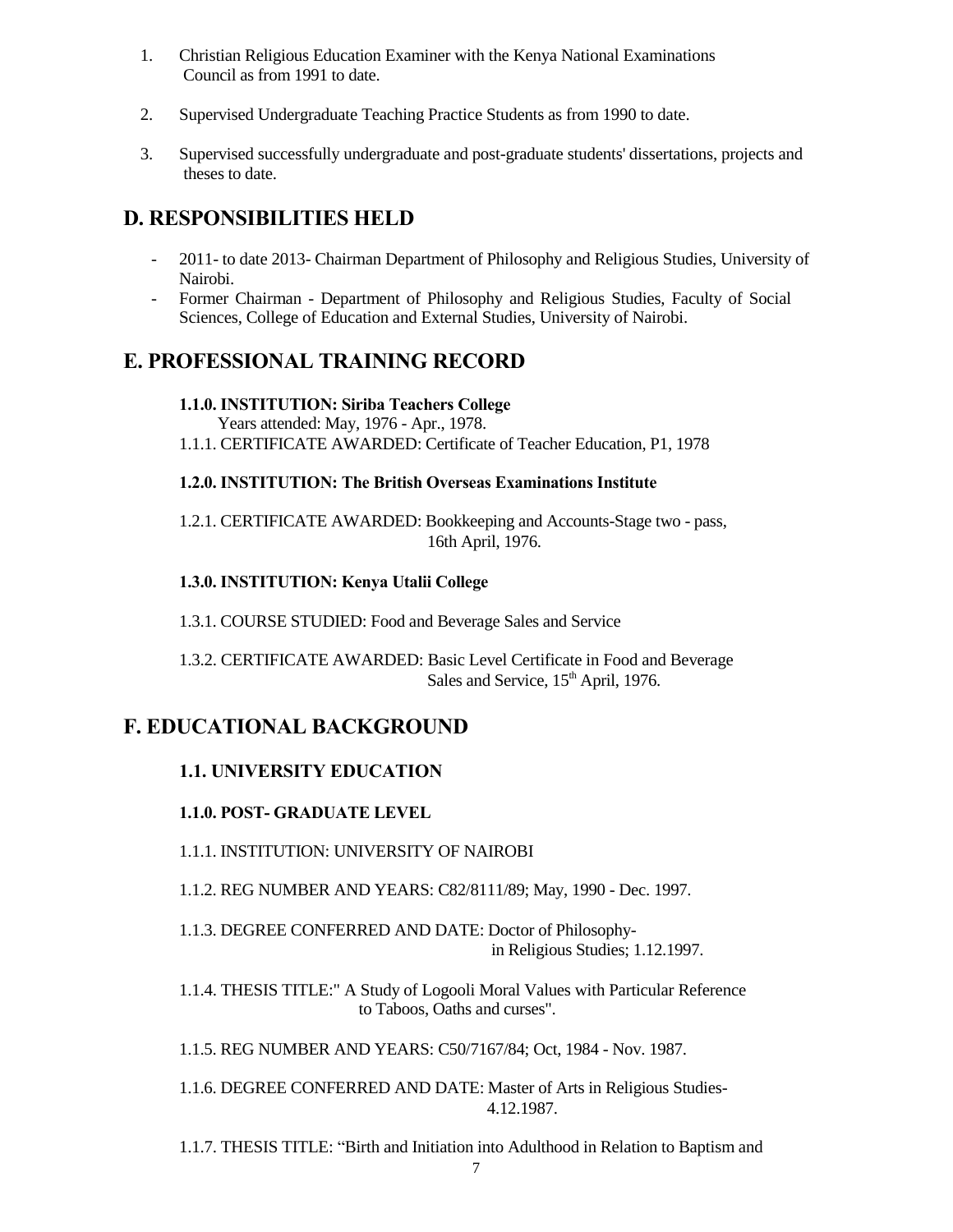- 1. Christian Religious Education Examiner with the Kenya National Examinations Council as from 1991 to date.
- 2. Supervised Undergraduate Teaching Practice Students as from 1990 to date.
- 3. Supervised successfully undergraduate and post-graduate students' dissertations, projects and theses to date.

# **D. RESPONSIBILITIES HELD**

- 2011- to date 2013- Chairman Department of Philosophy and Religious Studies, University of Nairobi.
- Former Chairman Department of Philosophy and Religious Studies, Faculty of Social Sciences, College of Education and External Studies, University of Nairobi.

# **E. PROFESSIONAL TRAINING RECORD**

#### **1.1.0. INSTITUTION: Siriba Teachers College**

Years attended: May, 1976 - Apr., 1978.

1.1.1. CERTIFICATE AWARDED: Certificate of Teacher Education, P1, 1978

#### **1.2.0. INSTITUTION: The British Overseas Examinations Institute**

1.2.1. CERTIFICATE AWARDED: Bookkeeping and Accounts-Stage two - pass, 16th April, 1976.

### **1.3.0. INSTITUTION: Kenya Utalii College**

1.3.1. COURSE STUDIED: Food and Beverage Sales and Service

1.3.2. CERTIFICATE AWARDED: Basic Level Certificate in Food and Beverage Sales and Service, 15<sup>th</sup> April, 1976.

# **F. EDUCATIONAL BACKGROUND**

### **1.1. UNIVERSITY EDUCATION**

### **1.1.0. POST- GRADUATE LEVEL**

1.1.1. INSTITUTION: UNIVERSITY OF NAIROBI

1.1.2. REG NUMBER AND YEARS: C82/8111/89; May, 1990 - Dec. 1997.

1.1.3. DEGREE CONFERRED AND DATE: Doctor of Philosophyin Religious Studies; 1.12.1997.

1.1.4. THESIS TITLE:" A Study of Logooli Moral Values with Particular Reference to Taboos, Oaths and curses".

1.1.5. REG NUMBER AND YEARS: C50/7167/84; Oct, 1984 - Nov. 1987.

1.1.6. DEGREE CONFERRED AND DATE: Master of Arts in Religious Studies-4.12.1987.

1.1.7. THESIS TITLE: "Birth and Initiation into Adulthood in Relation to Baptism and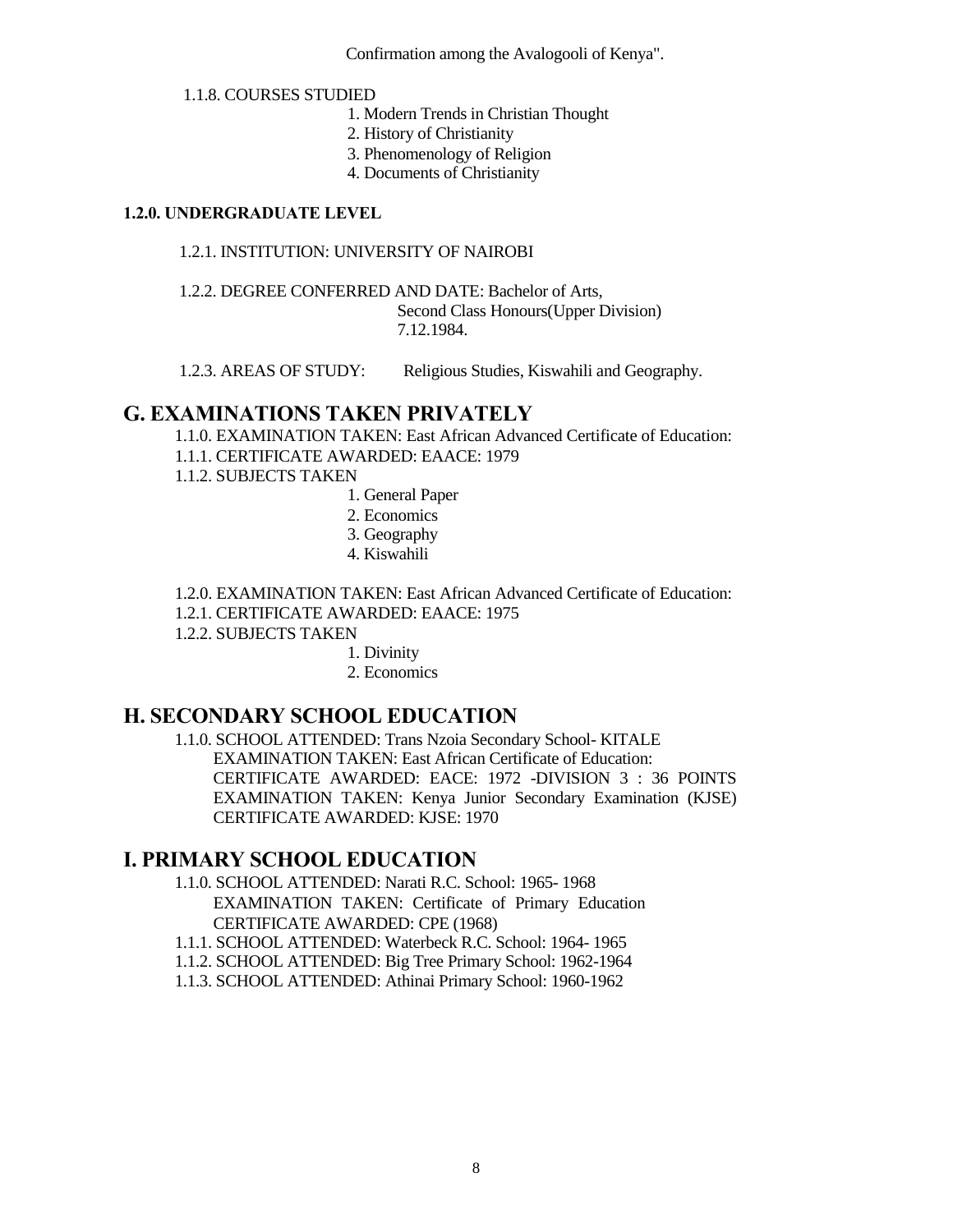Confirmation among the Avalogooli of Kenya".

#### 1.1.8. COURSES STUDIED

- 1. Modern Trends in Christian Thought
- 2. History of Christianity
- 3. Phenomenology of Religion
- 4. Documents of Christianity

### **1.2.0. UNDERGRADUATE LEVEL**

#### 1.2.1. INSTITUTION: UNIVERSITY OF NAIROBI

1.2.2. DEGREE CONFERRED AND DATE: Bachelor of Arts, Second Class Honours(Upper Division) 7.12.1984.

1.2.3. AREAS OF STUDY: Religious Studies, Kiswahili and Geography.

## **G. EXAMINATIONS TAKEN PRIVATELY**

1.1.0. EXAMINATION TAKEN: East African Advanced Certificate of Education: 1.1.1. CERTIFICATE AWARDED: EAACE: 1979

1.1.2. SUBJECTS TAKEN

- 1. General Paper
- 2. Economics
- 3. Geography
- 4. Kiswahili
- 1.2.0. EXAMINATION TAKEN: East African Advanced Certificate of Education:
- 1.2.1. CERTIFICATE AWARDED: EAACE: 1975
- 1.2.2. SUBJECTS TAKEN

1. Divinity

2. Economics

### **H. SECONDARY SCHOOL EDUCATION**

1.1.0. SCHOOL ATTENDED: Trans Nzoia Secondary School- KITALE EXAMINATION TAKEN: East African Certificate of Education: CERTIFICATE AWARDED: EACE: 1972 -DIVISION 3 : 36 POINTS EXAMINATION TAKEN: Kenya Junior Secondary Examination (KJSE) CERTIFICATE AWARDED: KJSE: 1970

### **I. PRIMARY SCHOOL EDUCATION**

- 1.1.0. SCHOOL ATTENDED: Narati R.C. School: 1965- 1968 EXAMINATION TAKEN: Certificate of Primary Education CERTIFICATE AWARDED: CPE (1968)
- 1.1.1. SCHOOL ATTENDED: Waterbeck R.C. School: 1964- 1965
- 1.1.2. SCHOOL ATTENDED: Big Tree Primary School: 1962-1964
- 1.1.3. SCHOOL ATTENDED: Athinai Primary School: 1960-1962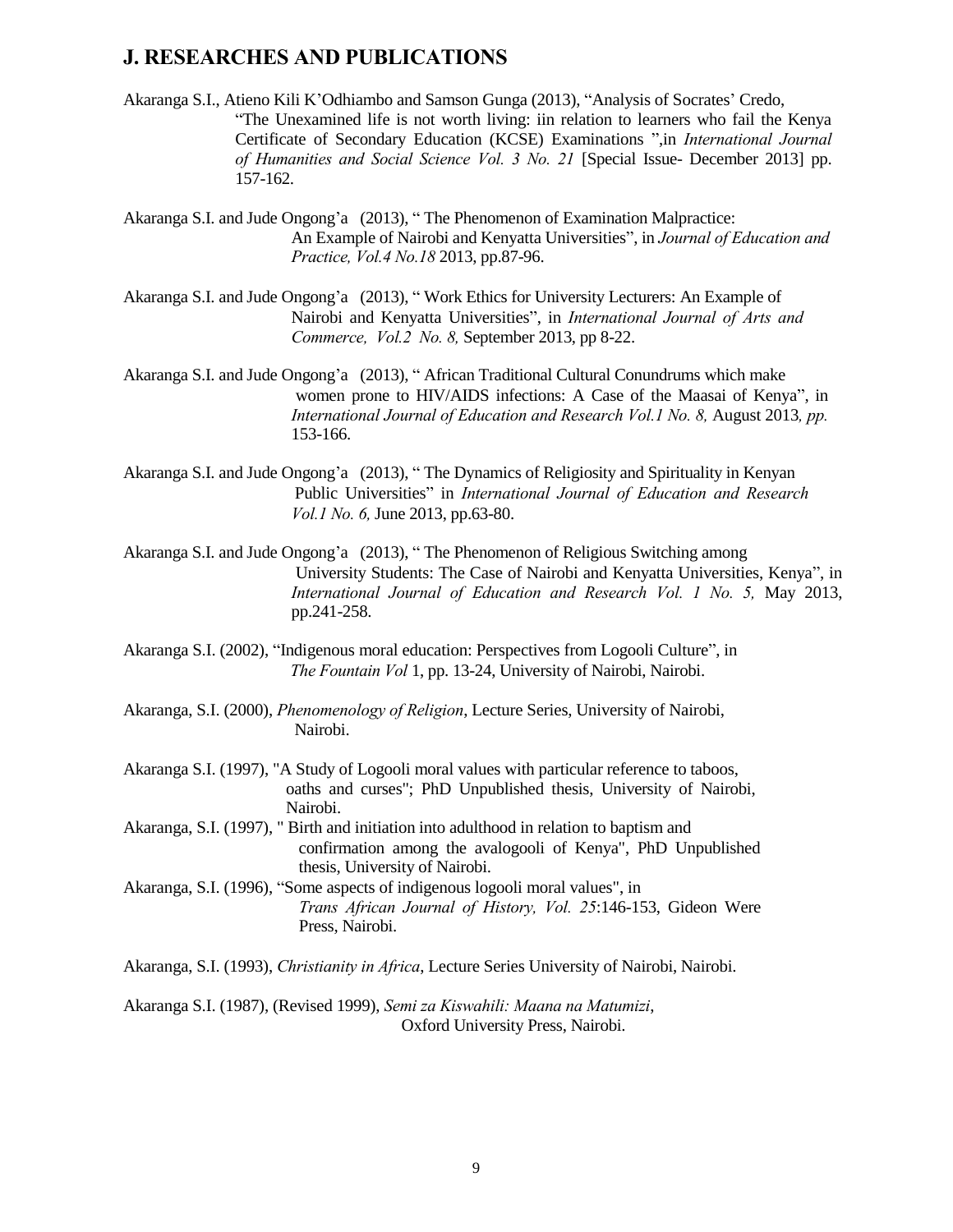### **J. RESEARCHES AND PUBLICATIONS**

Akaranga S.I., Atieno Kili K'Odhiambo and Samson Gunga (2013), "Analysis of Socrates' Credo, "The Unexamined life is not worth living: iin relation to learners who fail the Kenya Certificate of Secondary Education (KCSE) Examinations ",in *International Journal of Humanities and Social Science Vol. 3 No. 21* [Special Issue- December 2013] pp. 157-162.

Akaranga S.I. and Jude Ongong'a (2013), " The Phenomenon of Examination Malpractice: An Example of Nairobi and Kenyatta Universities", in *Journal of Education and Practice, Vol.4 No.18* 2013, pp.87-96.

Akaranga S.I. and Jude Ongong'a (2013), " Work Ethics for University Lecturers: An Example of Nairobi and Kenyatta Universities", in *International Journal of Arts and Commerce, Vol.2 No. 8,* September 2013, pp 8-22.

Akaranga S.I. and Jude Ongong'a (2013), " African Traditional Cultural Conundrums which make women prone to HIV/AIDS infections: A Case of the Maasai of Kenya", in *International Journal of Education and Research Vol.1 No. 8,* August 2013*, pp.* 153-166.

Akaranga S.I. and Jude Ongong'a (2013), " The Dynamics of Religiosity and Spirituality in Kenyan Public Universities" in *International Journal of Education and Research Vol.1 No. 6,* June 2013, pp.63-80.

Akaranga S.I. and Jude Ongong'a (2013), " The Phenomenon of Religious Switching among University Students: The Case of Nairobi and Kenyatta Universities, Kenya", in *International Journal of Education and Research Vol. 1 No. 5,* May 2013, pp.241-258.

- Akaranga S.I. (2002), "Indigenous moral education: Perspectives from Logooli Culture", in *The Fountain Vol* 1, pp. 13-24, University of Nairobi, Nairobi.
- Akaranga, S.I. (2000), *Phenomenology of Religion*, Lecture Series, University of Nairobi, Nairobi.
- Akaranga S.I. (1997), "A Study of Logooli moral values with particular reference to taboos, oaths and curses"; PhD Unpublished thesis, University of Nairobi, Nairobi.
- Akaranga, S.I. (1997), " Birth and initiation into adulthood in relation to baptism and confirmation among the avalogooli of Kenya", PhD Unpublished thesis, University of Nairobi.
- Akaranga, S.I. (1996), "Some aspects of indigenous logooli moral values", in *Trans African Journal of History, Vol. 25*:146-153, Gideon Were Press, Nairobi.

Akaranga, S.I. (1993), *Christianity in Africa*, Lecture Series University of Nairobi, Nairobi.

Akaranga S.I. (1987), (Revised 1999), *Semi za Kiswahili: Maana na Matumizi*, Oxford University Press, Nairobi.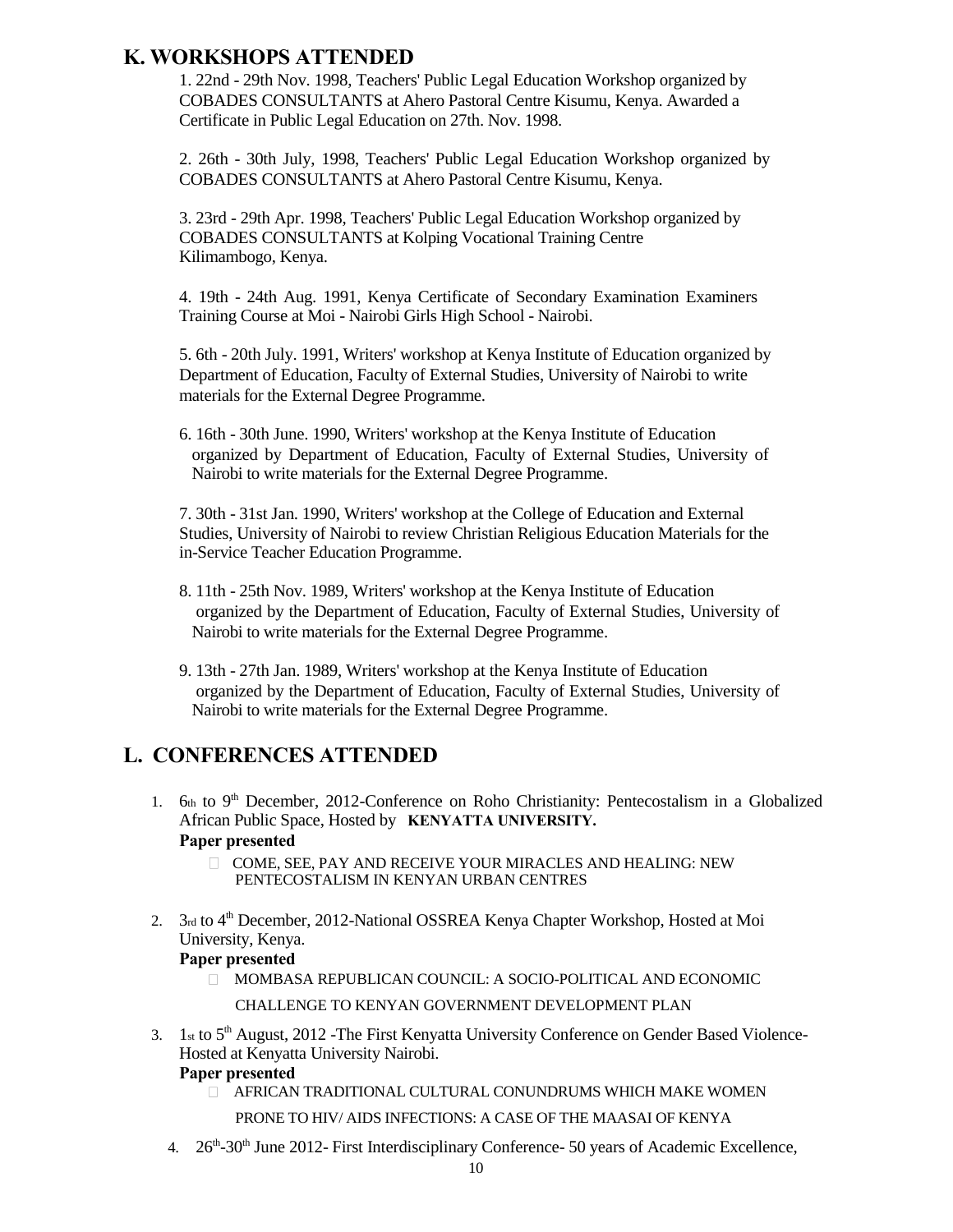# **K. WORKSHOPS ATTENDED**

1. 22nd - 29th Nov. 1998, Teachers' Public Legal Education Workshop organized by COBADES CONSULTANTS at Ahero Pastoral Centre Kisumu, Kenya. Awarded a Certificate in Public Legal Education on 27th. Nov. 1998.

2. 26th - 30th July, 1998, Teachers' Public Legal Education Workshop organized by COBADES CONSULTANTS at Ahero Pastoral Centre Kisumu, Kenya.

3. 23rd - 29th Apr. 1998, Teachers' Public Legal Education Workshop organized by COBADES CONSULTANTS at Kolping Vocational Training Centre Kilimambogo, Kenya.

4. 19th - 24th Aug. 1991, Kenya Certificate of Secondary Examination Examiners Training Course at Moi - Nairobi Girls High School - Nairobi.

5. 6th - 20th July. 1991, Writers' workshop at Kenya Institute of Education organized by Department of Education, Faculty of External Studies, University of Nairobi to write materials for the External Degree Programme.

6. 16th - 30th June. 1990, Writers' workshop at the Kenya Institute of Education organized by Department of Education, Faculty of External Studies, University of Nairobi to write materials for the External Degree Programme.

7. 30th - 31st Jan. 1990, Writers' workshop at the College of Education and External Studies, University of Nairobi to review Christian Religious Education Materials for the in-Service Teacher Education Programme.

- 8. 11th 25th Nov. 1989, Writers' workshop at the Kenya Institute of Education organized by the Department of Education, Faculty of External Studies, University of Nairobi to write materials for the External Degree Programme.
- 9. 13th 27th Jan. 1989, Writers' workshop at the Kenya Institute of Education organized by the Department of Education, Faculty of External Studies, University of Nairobi to write materials for the External Degree Programme.

# **L. CONFERENCES ATTENDED**

- 1.  $6th$  to 9<sup>th</sup> December, 2012-Conference on Roho Christianity: Pentecostalism in a Globalized African Public Space, Hosted by **KENYATTA UNIVERSITY. Paper presented** 
	- COME, SEE, PAY AND RECEIVE YOUR MIRACLES AND HEALING: NEW PENTECOSTALISM IN KENYAN URBAN CENTRES
- 2. 3rd to 4<sup>th</sup> December, 2012-National OSSREA Kenya Chapter Workshop, Hosted at Moi University, Kenya. **Paper presented**
	- MOMBASA REPUBLICAN COUNCIL: A SOCIO-POLITICAL AND ECONOMIC

#### CHALLENGE TO KENYAN GOVERNMENT DEVELOPMENT PLAN

3. 1st to 5<sup>th</sup> August, 2012 -The First Kenyatta University Conference on Gender Based Violence-Hosted at Kenyatta University Nairobi.

#### **Paper presented**

- AFRICAN TRADITIONAL CULTURAL CONUNDRUMS WHICH MAKE WOMEN
	- PRONE TO HIV/ AIDS INFECTIONS: A CASE OF THE MAASAI OF KENYA
- 4. 26<sup>th</sup>-30<sup>th</sup> June 2012- First Interdisciplinary Conference- 50 years of Academic Excellence,